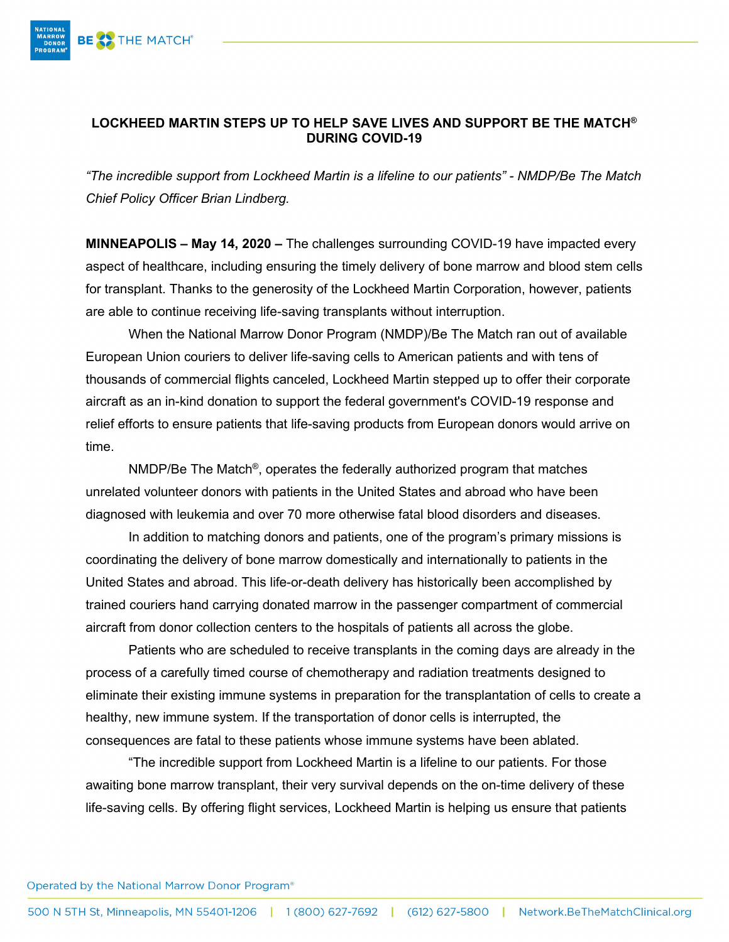

## **LOCKHEED MARTIN STEPS UP TO HELP SAVE LIVES AND SUPPORT BE THE MATCH® DURING COVID-19**

*"The incredible support from Lockheed Martin is a lifeline to our patients" - NMDP/Be The Match Chief Policy Officer Brian Lindberg.* 

**MINNEAPOLIS – May 14, 2020 –** The challenges surrounding COVID-19 have impacted every aspect of healthcare, including ensuring the timely delivery of bone marrow and blood stem cells for transplant. Thanks to the generosity of the Lockheed Martin Corporation, however, patients are able to continue receiving life-saving transplants without interruption.

When the National Marrow Donor Program (NMDP)/Be The Match ran out of available European Union couriers to deliver life-saving cells to American patients and with tens of thousands of commercial flights canceled, Lockheed Martin stepped up to offer their corporate aircraft as an in-kind donation to support the federal government's COVID-19 response and relief efforts to ensure patients that life-saving products from European donors would arrive on time.

NMDP/Be The Match<sup>®</sup>, operates the federally authorized program that matches unrelated volunteer donors with patients in the United States and abroad who have been diagnosed with leukemia and over 70 more otherwise fatal blood disorders and diseases.

In addition to matching donors and patients, one of the program's primary missions is coordinating the delivery of bone marrow domestically and internationally to patients in the United States and abroad. This life-or-death delivery has historically been accomplished by trained couriers hand carrying donated marrow in the passenger compartment of commercial aircraft from donor collection centers to the hospitals of patients all across the globe.

Patients who are scheduled to receive transplants in the coming days are already in the process of a carefully timed course of chemotherapy and radiation treatments designed to eliminate their existing immune systems in preparation for the transplantation of cells to create a healthy, new immune system. If the transportation of donor cells is interrupted, the consequences are fatal to these patients whose immune systems have been ablated.

"The incredible support from Lockheed Martin is a lifeline to our patients. For those awaiting bone marrow transplant, their very survival depends on the on-time delivery of these life-saving cells. By offering flight services, Lockheed Martin is helping us ensure that patients